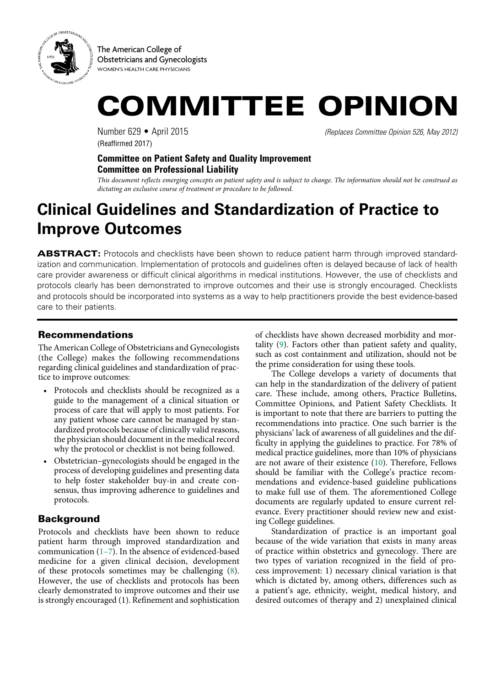

The American College of Obstetricians and Gynecologists WOMEN'S HEALTH CARE PHYSICIANS

# COMMITTEE OPINION

(Reaffirmed 2017)

Number 629 • April 2015 *(Replaces Committee Opinion 526, May 2012)*

#### **Committee on Patient Safety and Quality Improvement Committee on Professional Liability**

*This document reflects emerging concepts on patient safety and is subject to change. The information should not be construed as dictating an exclusive course of treatment or procedure to be followed.*

# **Clinical Guidelines and Standardization of Practice to Improve Outcomes**

ABSTRACT: Protocols and checklists have been shown to reduce patient harm through improved standardization and communication. Implementation of protocols and guidelines often is delayed because of lack of health care provider awareness or difficult clinical algorithms in medical institutions. However, the use of checklists and protocols clearly has been demonstrated to improve outcomes and their use is strongly encouraged. Checklists and protocols should be incorporated into systems as a way to help practitioners provide the best evidence-based care to their patients.

## Recommendations

The American College of Obstetricians and Gynecologists (the College) makes the following recommendations regarding clinical guidelines and standardization of practice to improve outcomes:

- Protocols and checklists should be recognized as a guide to the management of a clinical situation or process of care that will apply to most patients. For any patient whose care cannot be managed by standardized protocols because of clinically valid reasons, the physician should document in the medical record why the protocol or checklist is not being followed.
- Obstetrician–gynecologists should be engaged in the process of developing guidelines and presenting data to help foster stakeholder buy-in and create consensus, thus improving adherence to guidelines and protocols.

### Background

<span id="page-0-2"></span><span id="page-0-1"></span>Protocols and checklists have been shown to reduce patient harm through improved standardization and communication [\(1–7\)](#page-2-0). In the absence of evidenced-based medicine for a given clinical decision, development of these protocols sometimes may be challenging ([8](#page-2-1)). However, the use of checklists and protocols has been clearly demonstrated to improve outcomes and their use is strongly encouraged (1). Refinement and sophistication

<span id="page-0-3"></span>of checklists have shown decreased morbidity and mortality [\(9\)](#page-2-2). Factors other than patient safety and quality, such as cost containment and utilization, should not be the prime consideration for using these tools.

The College develops a variety of documents that can help in the standardization of the delivery of patient care. These include, among others, Practice Bulletins, Committee Opinions, and Patient Safety Checklists. It is important to note that there are barriers to putting the recommendations into practice. One such barrier is the physicians' lack of awareness of all guidelines and the difficulty in applying the guidelines to practice. For 78% of medical practice guidelines, more than 10% of physicians are not aware of their existence [\(10\)](#page-2-3). Therefore, Fellows should be familiar with the College's practice recommendations and evidence-based guideline publications to make full use of them. The aforementioned College documents are regularly updated to ensure current relevance. Every practitioner should review new and existing College guidelines.

<span id="page-0-0"></span>Standardization of practice is an important goal because of the wide variation that exists in many areas of practice within obstetrics and gynecology. There are two types of variation recognized in the field of process improvement: 1) necessary clinical variation is that which is dictated by, among others, differences such as a patient's age, ethnicity, weight, medical history, and desired outcomes of therapy and 2) unexplained clinical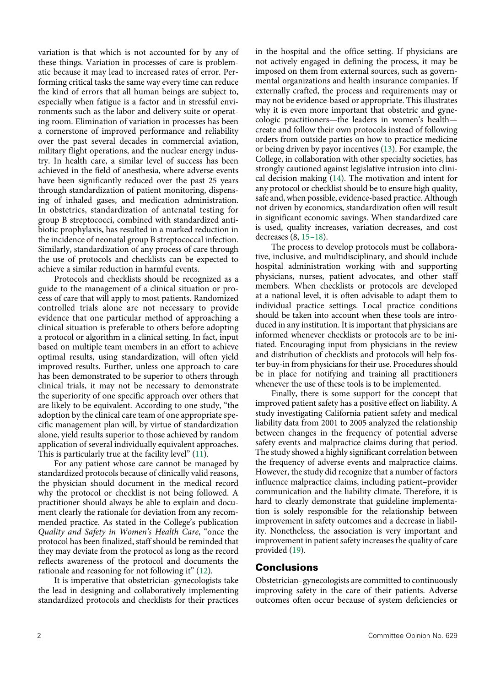variation is that which is not accounted for by any of these things. Variation in processes of care is problematic because it may lead to increased rates of error. Performing critical tasks the same way every time can reduce the kind of errors that all human beings are subject to, especially when fatigue is a factor and in stressful environments such as the labor and delivery suite or operating room. Elimination of variation in processes has been a cornerstone of improved performance and reliability over the past several decades in commercial aviation, military flight operations, and the nuclear energy industry. In health care, a similar level of success has been achieved in the field of anesthesia, where adverse events have been significantly reduced over the past 25 years through standardization of patient monitoring, dispensing of inhaled gases, and medication administration. In obstetrics, standardization of antenatal testing for group B streptococci, combined with standardized antibiotic prophylaxis, has resulted in a marked reduction in the incidence of neonatal group B streptococcal infection. Similarly, standardization of any process of care through the use of protocols and checklists can be expected to achieve a similar reduction in harmful events.

Protocols and checklists should be recognized as a guide to the management of a clinical situation or process of care that will apply to most patients. Randomized controlled trials alone are not necessary to provide evidence that one particular method of approaching a clinical situation is preferable to others before adopting a protocol or algorithm in a clinical setting. In fact, input based on multiple team members in an effort to achieve optimal results, using standardization, will often yield improved results. Further, unless one approach to care has been demonstrated to be superior to others through clinical trials, it may not be necessary to demonstrate the superiority of one specific approach over others that are likely to be equivalent. According to one study, "the adoption by the clinical care team of one appropriate specific management plan will, by virtue of standardization alone, yield results superior to those achieved by random application of several individually equivalent approaches. This is particularly true at the facility level" [\(11\)](#page-2-4).

<span id="page-1-0"></span>For any patient whose care cannot be managed by standardized protocols because of clinically valid reasons, the physician should document in the medical record why the protocol or checklist is not being followed. A practitioner should always be able to explain and document clearly the rationale for deviation from any recommended practice. As stated in the College's publication *Quality and Safety in Women's Health Care*, "once the protocol has been finalized, staff should be reminded that they may deviate from the protocol as long as the record reflects awareness of the protocol and documents the rationale and reasoning for not following it" ([12](#page-2-5)).

<span id="page-1-1"></span>It is imperative that obstetrician–gynecologists take the lead in designing and collaboratively implementing standardized protocols and checklists for their practices

<span id="page-1-2"></span>in the hospital and the office setting. If physicians are not actively engaged in defining the process, it may be imposed on them from external sources, such as governmental organizations and health insurance companies. If externally crafted, the process and requirements may or may not be evidence-based or appropriate. This illustrates why it is even more important that obstetric and gynecologic practitioners—the leaders in women's health create and follow their own protocols instead of following orders from outside parties on how to practice medicine or being driven by payor incentives ([13](#page-2-6)). For example, the College, in collaboration with other specialty societies, has strongly cautioned against legislative intrusion into clinical decision making [\(14\)](#page-2-7). The motivation and intent for any protocol or checklist should be to ensure high quality, safe and, when possible, evidence-based practice. Although not driven by economics, standardization often will result in significant economic savings. When standardized care is used, quality increases, variation decreases, and cost decreases (8, [15–18](#page-2-8)).

<span id="page-1-4"></span><span id="page-1-3"></span>The process to develop protocols must be collaborative, inclusive, and multidisciplinary, and should include hospital administration working with and supporting physicians, nurses, patient advocates, and other staff members. When checklists or protocols are developed at a national level, it is often advisable to adapt them to individual practice settings. Local practice conditions should be taken into account when these tools are introduced in any institution. It is important that physicians are informed whenever checklists or protocols are to be initiated. Encouraging input from physicians in the review and distribution of checklists and protocols will help foster buy-in from physicians for their use. Procedures should be in place for notifying and training all practitioners whenever the use of these tools is to be implemented.

Finally, there is some support for the concept that improved patient safety has a positive effect on liability. A study investigating California patient safety and medical liability data from 2001 to 2005 analyzed the relationship between changes in the frequency of potential adverse safety events and malpractice claims during that period. The study showed a highly significant correlation between the frequency of adverse events and malpractice claims. However, the study did recognize that a number of factors influence malpractice claims, including patient–provider communication and the liability climate. Therefore, it is hard to clearly demonstrate that guideline implementation is solely responsible for the relationship between improvement in safety outcomes and a decrease in liability. Nonetheless, the association is very important and improvement in patient safety increases the quality of care provided ([19](#page-2-9)).

#### <span id="page-1-5"></span>**Conclusions**

Obstetrician–gynecologists are committed to continuously improving safety in the care of their patients. Adverse outcomes often occur because of system deficiencies or